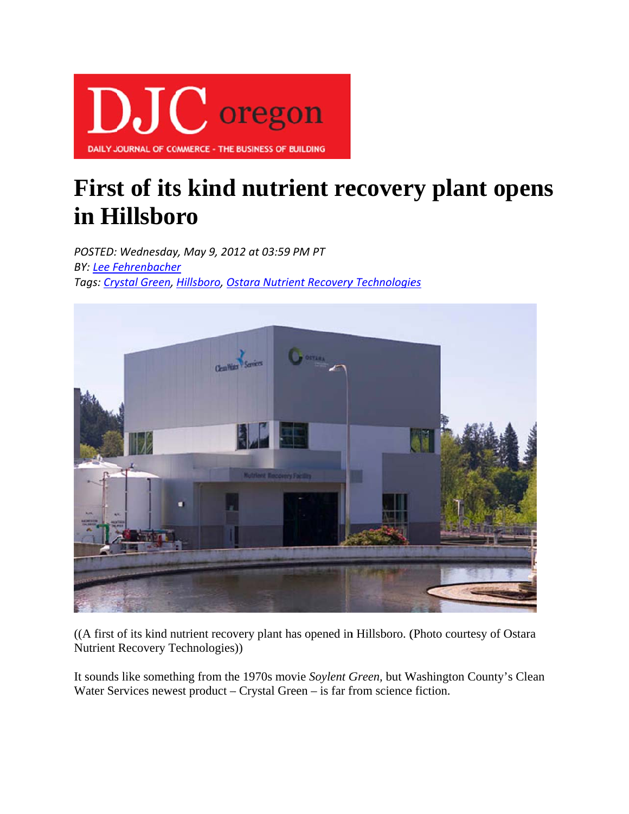

## First of its kind nutrient recovery plant opens in Hillsboro

POSTED: Wednesday, May 9, 2012 at 03:59 PM PT **BY: Lee Fehrenbacher** Tags: Crystal Green, Hillsboro, Ostara Nutrient Recovery Technologies



((A first of its kind nutrient recovery plant has opened in Hillsboro. (Photo courtesy of Ostara Nutrient Recovery Technologies))

It sounds like something from the 1970s movie Soylent Green, but Washington County's Clean Water Services newest product  $-$  Crystal Green  $-$  is far from science fiction.